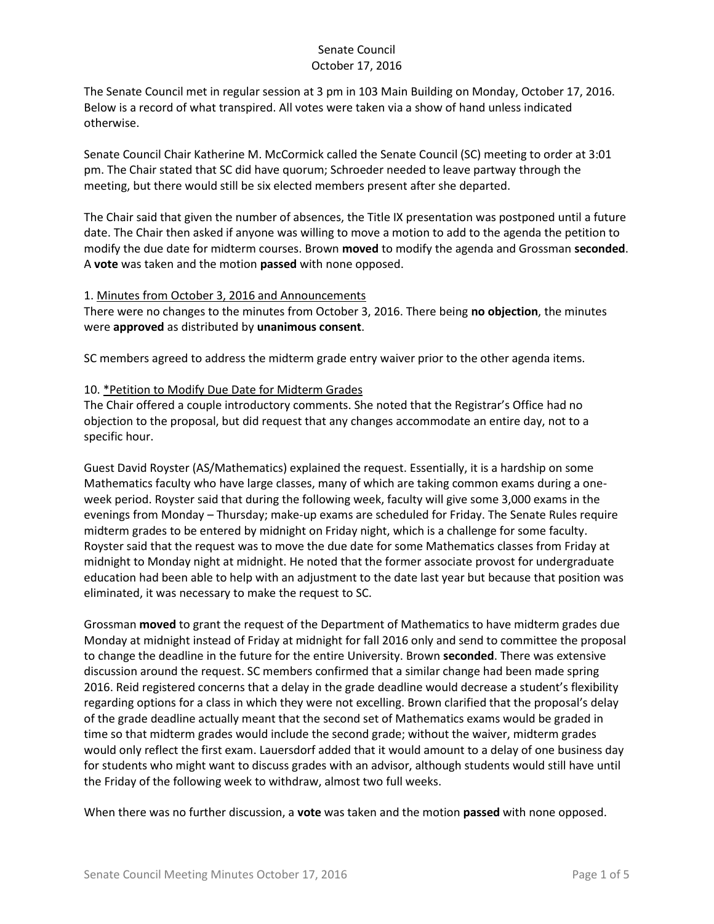The Senate Council met in regular session at 3 pm in 103 Main Building on Monday, October 17, 2016. Below is a record of what transpired. All votes were taken via a show of hand unless indicated otherwise.

Senate Council Chair Katherine M. McCormick called the Senate Council (SC) meeting to order at 3:01 pm. The Chair stated that SC did have quorum; Schroeder needed to leave partway through the meeting, but there would still be six elected members present after she departed.

The Chair said that given the number of absences, the Title IX presentation was postponed until a future date. The Chair then asked if anyone was willing to move a motion to add to the agenda the petition to modify the due date for midterm courses. Brown **moved** to modify the agenda and Grossman **seconded**. A **vote** was taken and the motion **passed** with none opposed.

#### 1. Minutes from October 3, 2016 and Announcements

There were no changes to the minutes from October 3, 2016. There being **no objection**, the minutes were **approved** as distributed by **unanimous consent**.

SC members agreed to address the midterm grade entry waiver prior to the other agenda items.

#### 10. \*Petition to Modify Due Date for Midterm Grades

The Chair offered a couple introductory comments. She noted that the Registrar's Office had no objection to the proposal, but did request that any changes accommodate an entire day, not to a specific hour.

Guest David Royster (AS/Mathematics) explained the request. Essentially, it is a hardship on some Mathematics faculty who have large classes, many of which are taking common exams during a oneweek period. Royster said that during the following week, faculty will give some 3,000 exams in the evenings from Monday – Thursday; make-up exams are scheduled for Friday. The Senate Rules require midterm grades to be entered by midnight on Friday night, which is a challenge for some faculty. Royster said that the request was to move the due date for some Mathematics classes from Friday at midnight to Monday night at midnight. He noted that the former associate provost for undergraduate education had been able to help with an adjustment to the date last year but because that position was eliminated, it was necessary to make the request to SC.

Grossman **moved** to grant the request of the Department of Mathematics to have midterm grades due Monday at midnight instead of Friday at midnight for fall 2016 only and send to committee the proposal to change the deadline in the future for the entire University. Brown **seconded**. There was extensive discussion around the request. SC members confirmed that a similar change had been made spring 2016. Reid registered concerns that a delay in the grade deadline would decrease a student's flexibility regarding options for a class in which they were not excelling. Brown clarified that the proposal's delay of the grade deadline actually meant that the second set of Mathematics exams would be graded in time so that midterm grades would include the second grade; without the waiver, midterm grades would only reflect the first exam. Lauersdorf added that it would amount to a delay of one business day for students who might want to discuss grades with an advisor, although students would still have until the Friday of the following week to withdraw, almost two full weeks.

When there was no further discussion, a **vote** was taken and the motion **passed** with none opposed.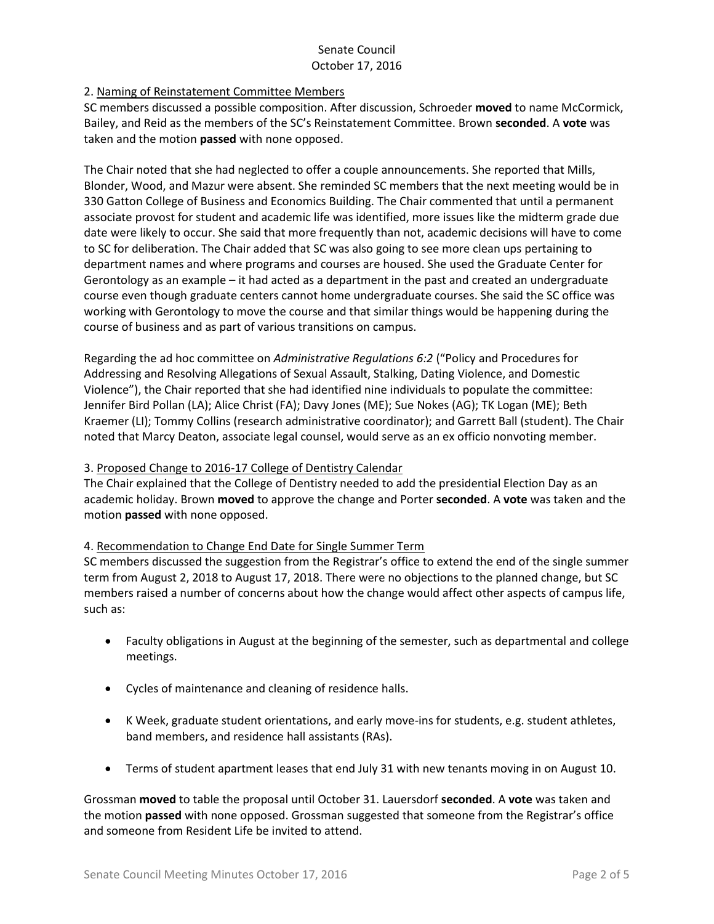### 2. Naming of Reinstatement Committee Members

SC members discussed a possible composition. After discussion, Schroeder **moved** to name McCormick, Bailey, and Reid as the members of the SC's Reinstatement Committee. Brown **seconded**. A **vote** was taken and the motion **passed** with none opposed.

The Chair noted that she had neglected to offer a couple announcements. She reported that Mills, Blonder, Wood, and Mazur were absent. She reminded SC members that the next meeting would be in 330 Gatton College of Business and Economics Building. The Chair commented that until a permanent associate provost for student and academic life was identified, more issues like the midterm grade due date were likely to occur. She said that more frequently than not, academic decisions will have to come to SC for deliberation. The Chair added that SC was also going to see more clean ups pertaining to department names and where programs and courses are housed. She used the Graduate Center for Gerontology as an example – it had acted as a department in the past and created an undergraduate course even though graduate centers cannot home undergraduate courses. She said the SC office was working with Gerontology to move the course and that similar things would be happening during the course of business and as part of various transitions on campus.

Regarding the ad hoc committee on *Administrative Regulations 6:2* ("Policy and Procedures for Addressing and Resolving Allegations of Sexual Assault, Stalking, Dating Violence, and Domestic Violence"), the Chair reported that she had identified nine individuals to populate the committee: Jennifer Bird Pollan (LA); Alice Christ (FA); Davy Jones (ME); Sue Nokes (AG); TK Logan (ME); Beth Kraemer (LI); Tommy Collins (research administrative coordinator); and Garrett Ball (student). The Chair noted that Marcy Deaton, associate legal counsel, would serve as an ex officio nonvoting member.

### 3. Proposed Change to 2016-17 College of Dentistry Calendar

The Chair explained that the College of Dentistry needed to add the presidential Election Day as an academic holiday. Brown **moved** to approve the change and Porter **seconded**. A **vote** was taken and the motion **passed** with none opposed.

#### 4. Recommendation to Change End Date for Single Summer Term

SC members discussed the suggestion from the Registrar's office to extend the end of the single summer term from August 2, 2018 to August 17, 2018. There were no objections to the planned change, but SC members raised a number of concerns about how the change would affect other aspects of campus life, such as:

- Faculty obligations in August at the beginning of the semester, such as departmental and college meetings.
- Cycles of maintenance and cleaning of residence halls.
- K Week, graduate student orientations, and early move-ins for students, e.g. student athletes, band members, and residence hall assistants (RAs).
- Terms of student apartment leases that end July 31 with new tenants moving in on August 10.

Grossman **moved** to table the proposal until October 31. Lauersdorf **seconded**. A **vote** was taken and the motion **passed** with none opposed. Grossman suggested that someone from the Registrar's office and someone from Resident Life be invited to attend.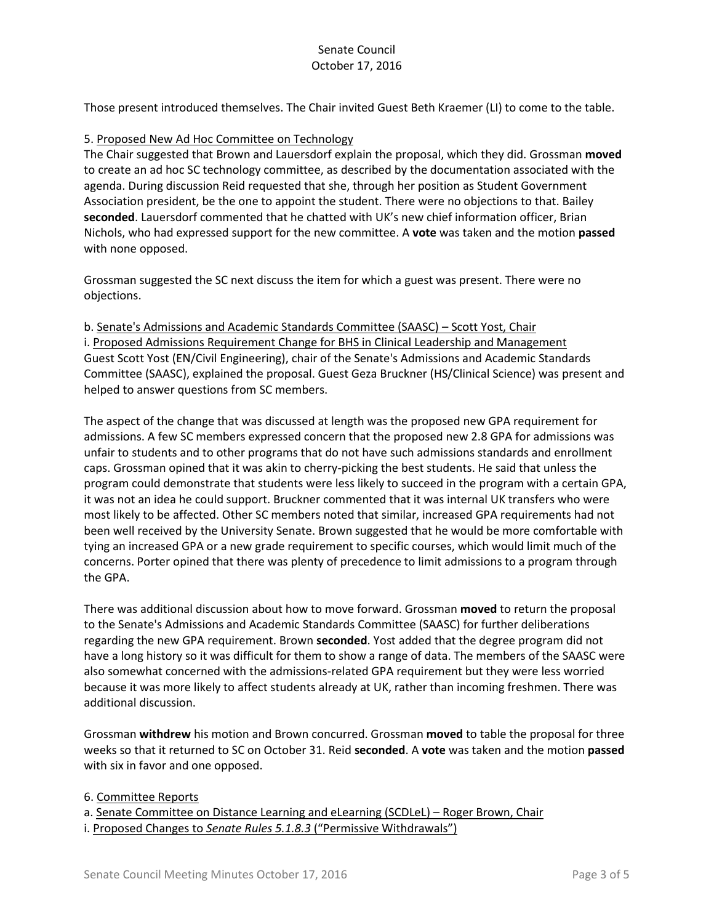Those present introduced themselves. The Chair invited Guest Beth Kraemer (LI) to come to the table.

#### 5. Proposed New Ad Hoc Committee on Technology

The Chair suggested that Brown and Lauersdorf explain the proposal, which they did. Grossman **moved**  to create an ad hoc SC technology committee, as described by the documentation associated with the agenda. During discussion Reid requested that she, through her position as Student Government Association president, be the one to appoint the student. There were no objections to that. Bailey **seconded**. Lauersdorf commented that he chatted with UK's new chief information officer, Brian Nichols, who had expressed support for the new committee. A **vote** was taken and the motion **passed** with none opposed.

Grossman suggested the SC next discuss the item for which a guest was present. There were no objections.

b. Senate's Admissions and Academic Standards Committee (SAASC) – Scott Yost, Chair i. Proposed Admissions Requirement Change for BHS in Clinical Leadership and Management Guest Scott Yost (EN/Civil Engineering), chair of the Senate's Admissions and Academic Standards Committee (SAASC), explained the proposal. Guest Geza Bruckner (HS/Clinical Science) was present and helped to answer questions from SC members.

The aspect of the change that was discussed at length was the proposed new GPA requirement for admissions. A few SC members expressed concern that the proposed new 2.8 GPA for admissions was unfair to students and to other programs that do not have such admissions standards and enrollment caps. Grossman opined that it was akin to cherry-picking the best students. He said that unless the program could demonstrate that students were less likely to succeed in the program with a certain GPA, it was not an idea he could support. Bruckner commented that it was internal UK transfers who were most likely to be affected. Other SC members noted that similar, increased GPA requirements had not been well received by the University Senate. Brown suggested that he would be more comfortable with tying an increased GPA or a new grade requirement to specific courses, which would limit much of the concerns. Porter opined that there was plenty of precedence to limit admissions to a program through the GPA.

There was additional discussion about how to move forward. Grossman **moved** to return the proposal to the Senate's Admissions and Academic Standards Committee (SAASC) for further deliberations regarding the new GPA requirement. Brown **seconded**. Yost added that the degree program did not have a long history so it was difficult for them to show a range of data. The members of the SAASC were also somewhat concerned with the admissions-related GPA requirement but they were less worried because it was more likely to affect students already at UK, rather than incoming freshmen. There was additional discussion.

Grossman **withdrew** his motion and Brown concurred. Grossman **moved** to table the proposal for three weeks so that it returned to SC on October 31. Reid **seconded**. A **vote** was taken and the motion **passed** with six in favor and one opposed.

6. Committee Reports

a. Senate Committee on Distance Learning and eLearning (SCDLeL) – Roger Brown, Chair

i. Proposed Changes to *Senate Rules 5.1.8.3* ("Permissive Withdrawals")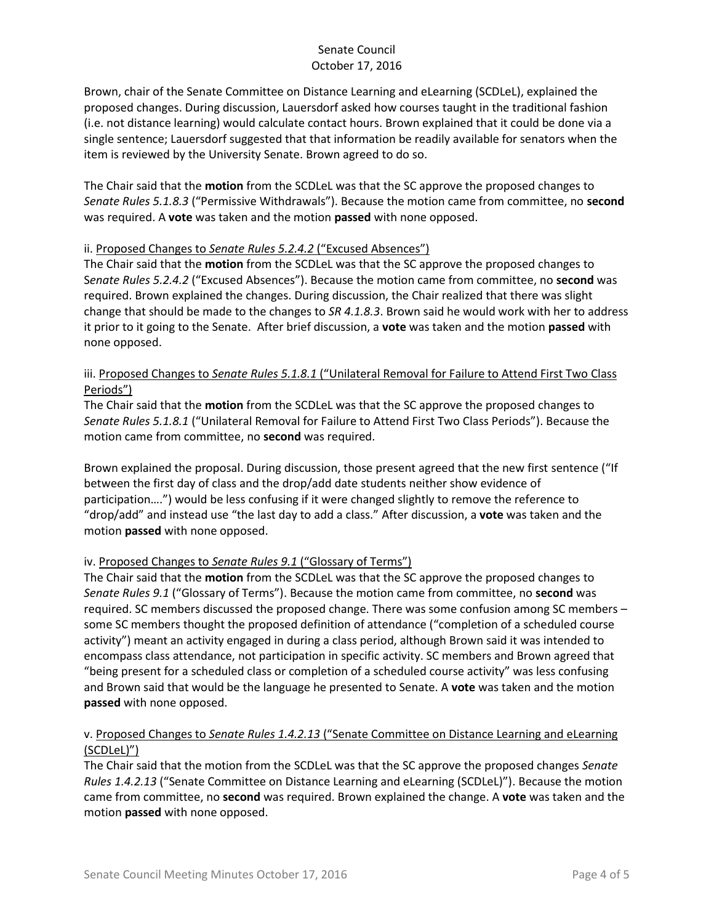Brown, chair of the Senate Committee on Distance Learning and eLearning (SCDLeL), explained the proposed changes. During discussion, Lauersdorf asked how courses taught in the traditional fashion (i.e. not distance learning) would calculate contact hours. Brown explained that it could be done via a single sentence; Lauersdorf suggested that that information be readily available for senators when the item is reviewed by the University Senate. Brown agreed to do so.

The Chair said that the **motion** from the SCDLeL was that the SC approve the proposed changes to *Senate Rules 5.1.8.3* ("Permissive Withdrawals"). Because the motion came from committee, no **second** was required. A **vote** was taken and the motion **passed** with none opposed.

#### ii. Proposed Changes to *Senate Rules 5.2.4.2* ("Excused Absences")

The Chair said that the **motion** from the SCDLeL was that the SC approve the proposed changes to S*enate Rules 5.2.4.2* ("Excused Absences"). Because the motion came from committee, no **second** was required. Brown explained the changes. During discussion, the Chair realized that there was slight change that should be made to the changes to *SR 4.1.8.3*. Brown said he would work with her to address it prior to it going to the Senate. After brief discussion, a **vote** was taken and the motion **passed** with none opposed.

### iii. Proposed Changes to *Senate Rules 5.1.8.1* ("Unilateral Removal for Failure to Attend First Two Class Periods")

The Chair said that the **motion** from the SCDLeL was that the SC approve the proposed changes to *Senate Rules 5.1.8.1* ("Unilateral Removal for Failure to Attend First Two Class Periods"). Because the motion came from committee, no **second** was required.

Brown explained the proposal. During discussion, those present agreed that the new first sentence ("If between the first day of class and the drop/add date students neither show evidence of participation….") would be less confusing if it were changed slightly to remove the reference to "drop/add" and instead use "the last day to add a class." After discussion, a **vote** was taken and the motion **passed** with none opposed.

# iv. Proposed Changes to *Senate Rules 9.1* ("Glossary of Terms")

The Chair said that the **motion** from the SCDLeL was that the SC approve the proposed changes to *Senate Rules 9.1* ("Glossary of Terms"). Because the motion came from committee, no **second** was required. SC members discussed the proposed change. There was some confusion among SC members – some SC members thought the proposed definition of attendance ("completion of a scheduled course activity") meant an activity engaged in during a class period, although Brown said it was intended to encompass class attendance, not participation in specific activity. SC members and Brown agreed that "being present for a scheduled class or completion of a scheduled course activity" was less confusing and Brown said that would be the language he presented to Senate. A **vote** was taken and the motion **passed** with none opposed.

# v. Proposed Changes to *Senate Rules 1.4.2.13* ("Senate Committee on Distance Learning and eLearning (SCDLeL)")

The Chair said that the motion from the SCDLeL was that the SC approve the proposed changes *Senate Rules 1.4.2.13* ("Senate Committee on Distance Learning and eLearning (SCDLeL)"). Because the motion came from committee, no **second** was required. Brown explained the change. A **vote** was taken and the motion **passed** with none opposed.